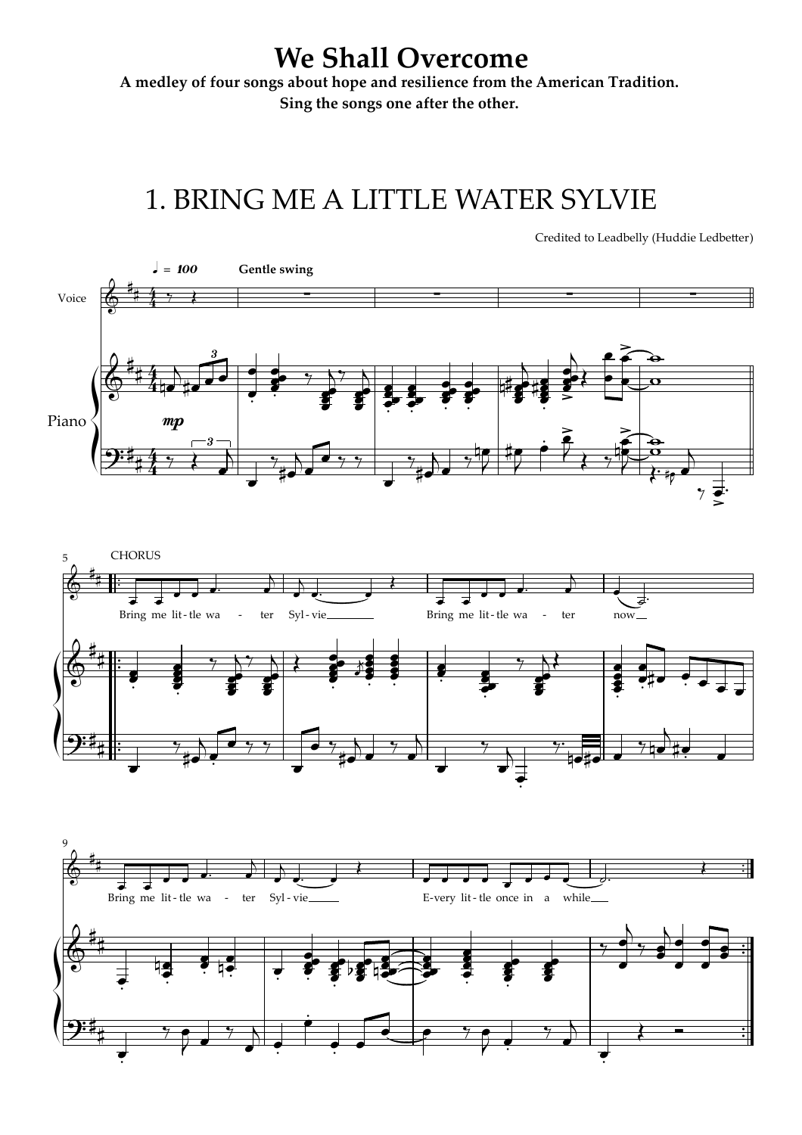#### **We Shall Overcome**

A medley of four songs about hope and resilience from the American Tradition. Sing the songs one after the other.

## 1. BRING ME A LITTLE WATER SYLVIE

Credited to Leadbelly (Huddie Ledbetter)

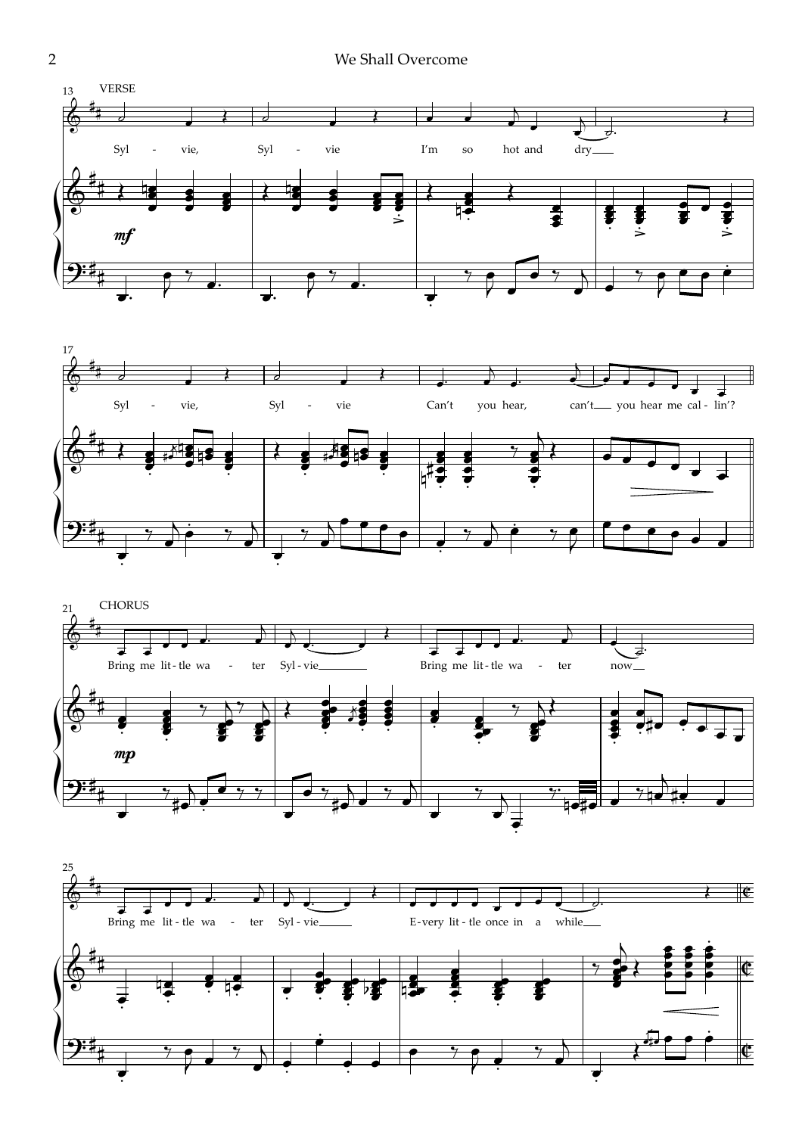





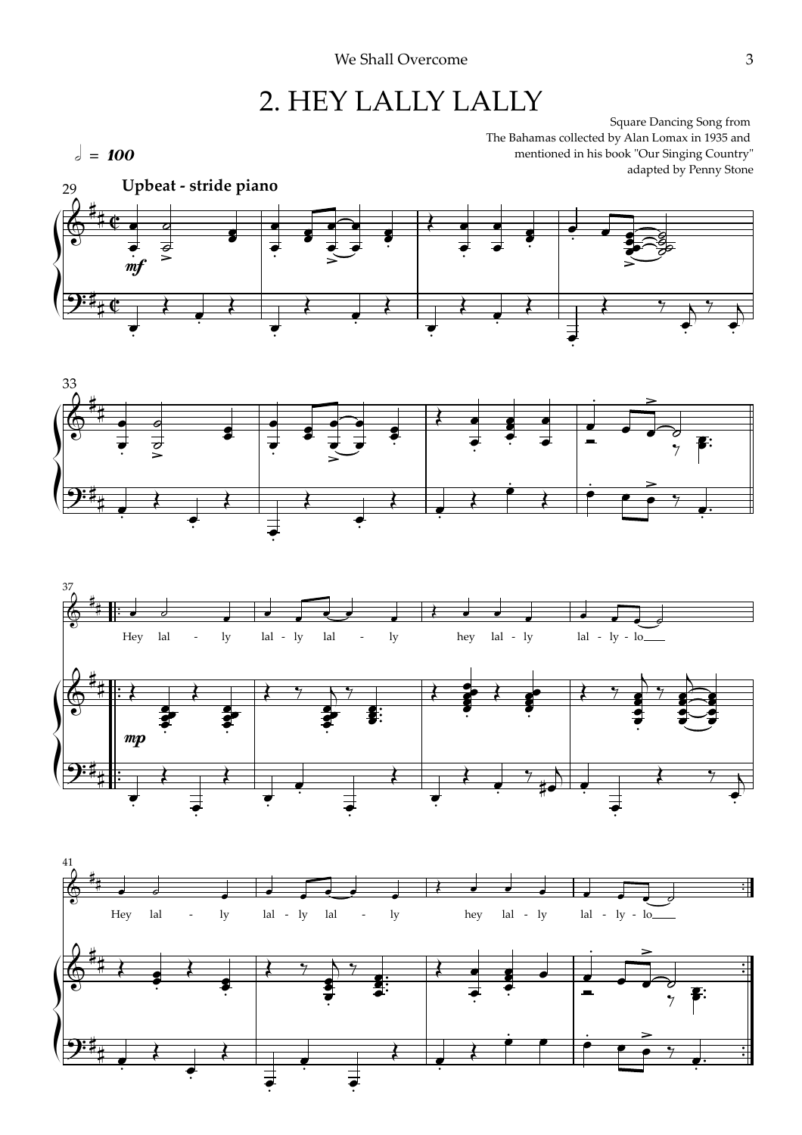# 2. HEY LALLY LALLY

 $\epsilon = 100$ 

Square Dancing Song from The Bahamas collected by Alan Lomax in 1935 and mentioned in his book "Our Singing Country" adapted by Penny Stone







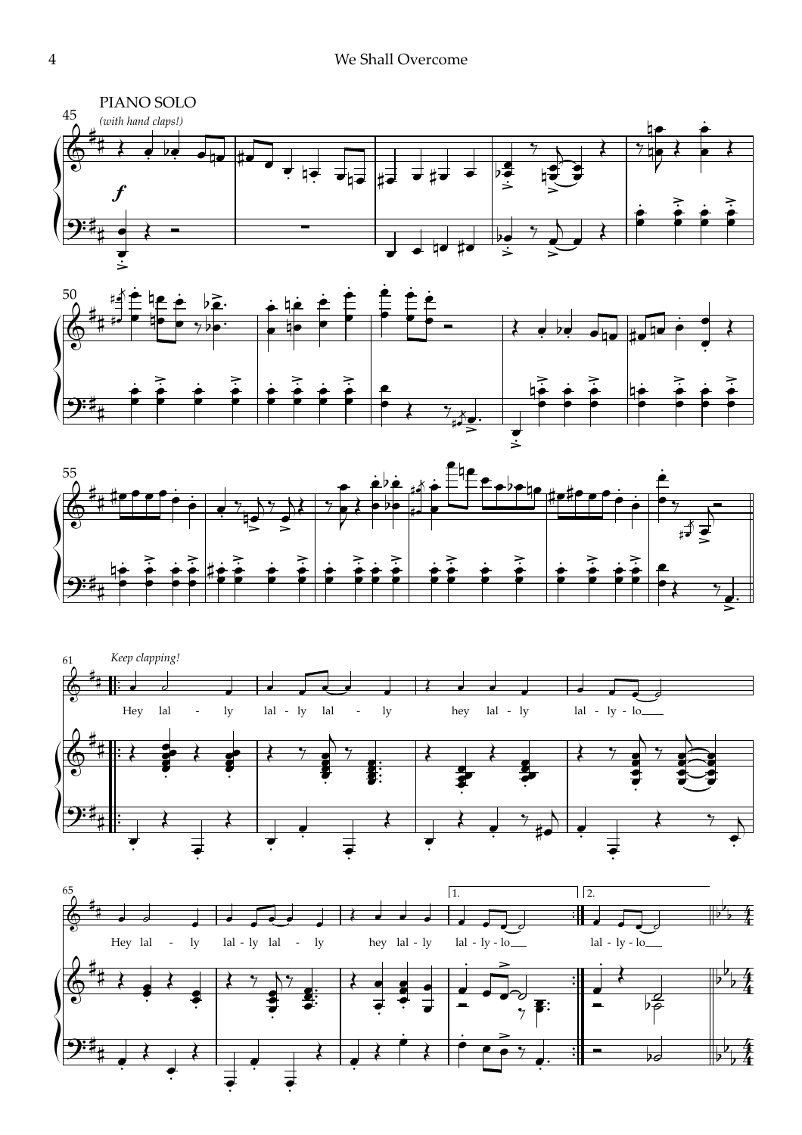







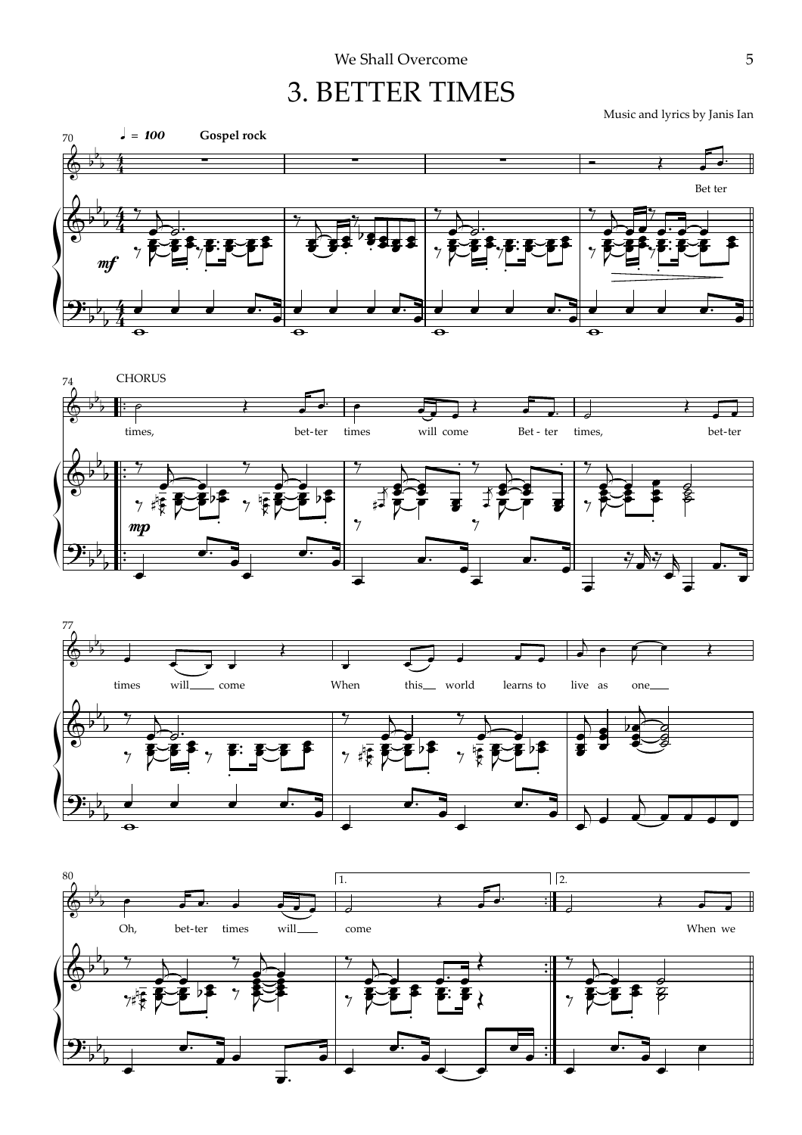### 3. BETTER TIMES

Music and lyrics by Janis Ian







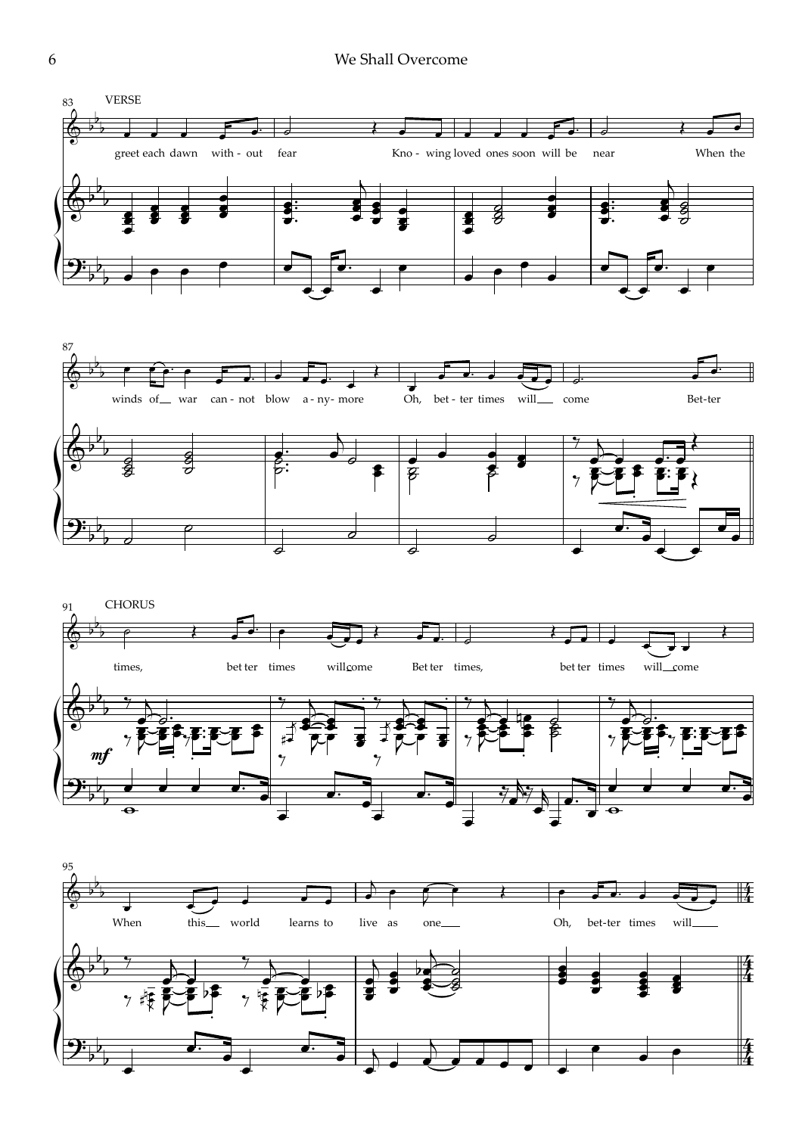



œ

œ™ œ

ا<br>سالا س  $\frac{N}{N}$ 

œ **r** 

— <u>च</u><br>⊽ ⊕<br>⊘ ⊕

 $\theta$ 

œ™ œ

œ

 $\overrightarrow{b}$  $\overline{\bullet}$ 

 $\theta$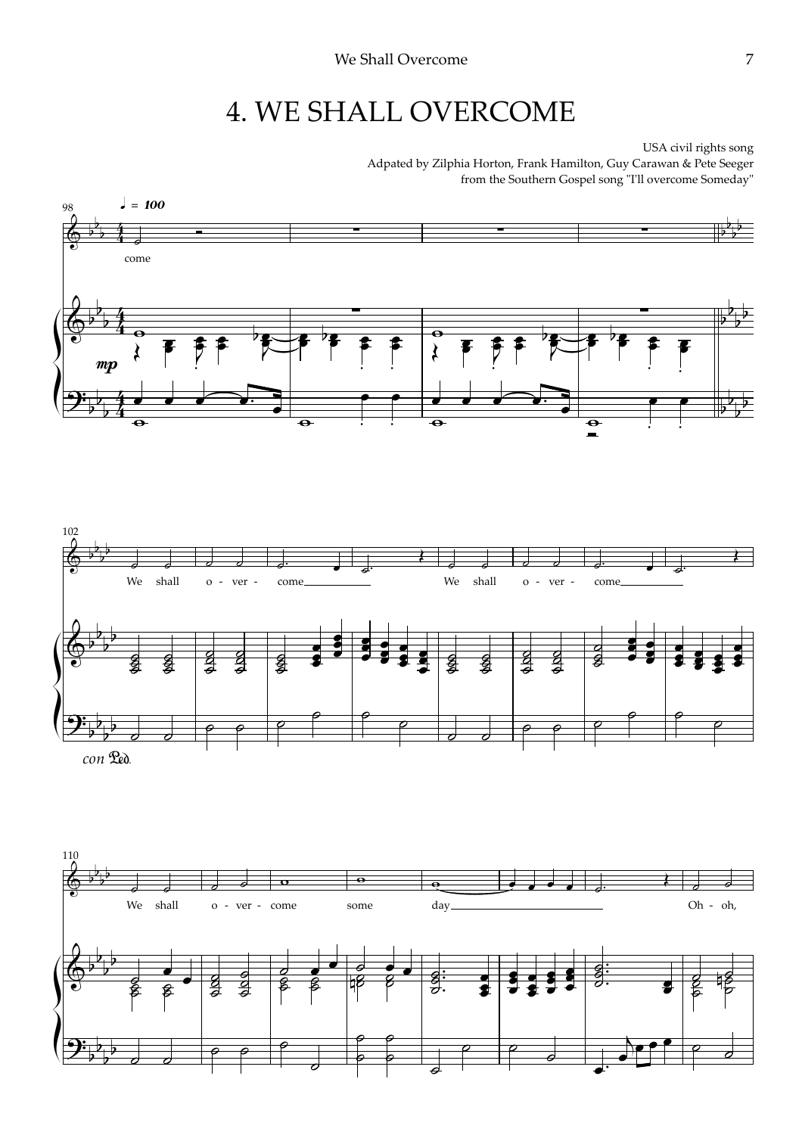### 4. WE SHALL OVERCOME

USA civil rights song

Adpated by Zilphia Horton, Frank Hamilton, Guy Carawan & Pete Seeger from the Southern Gospel song "I'll overcome Someday"